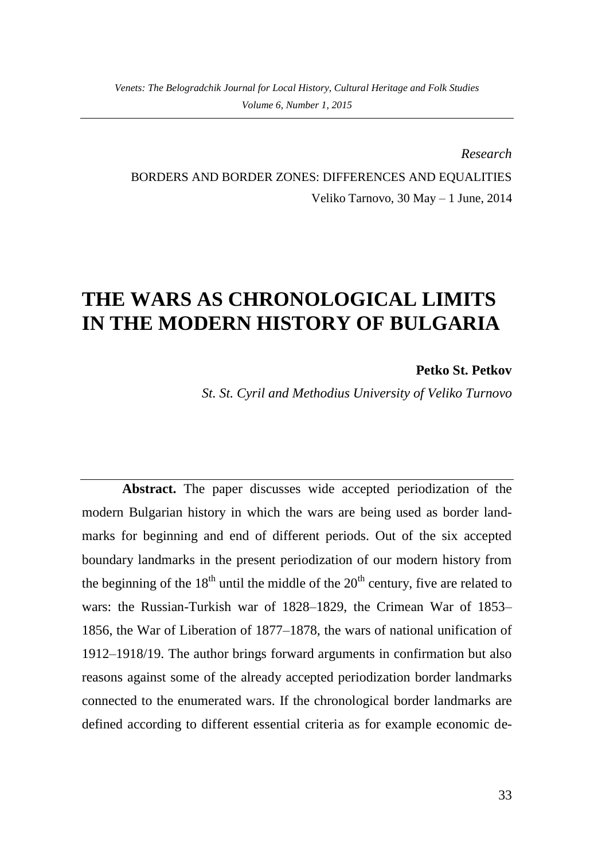*Research* BORDERS AND BORDER ZONES: DIFFERENCES AND EQUALITIES Veliko Tarnovo, 30 May – 1 June, 2014

## **THE WARS AS CHRONOLOGICAL LIMITS IN THE MODERN HISTORY OF BULGARIA**

**Petko St. Petkov**

*St. St. Cyril and Methodius University of Veliko Turnovo*

**Abstract.** The paper discusses wide accepted periodization of the modern Bulgarian history in which the wars are being used as border landmarks for beginning and end of different periods. Out of the six accepted boundary landmarks in the present periodization of our modern history from the beginning of the  $18<sup>th</sup>$  until the middle of the  $20<sup>th</sup>$  century, five are related to wars: the Russian-Turkish war of 1828–1829, the Crimean War of 1853– 1856, the War of Liberation of 1877–1878, the wars of national unification of 1912–1918/19. The author brings forward arguments in confirmation but also reasons against some of the already accepted periodization border landmarks connected to the enumerated wars. If the chronological border landmarks are defined according to different essential criteria as for example economic de-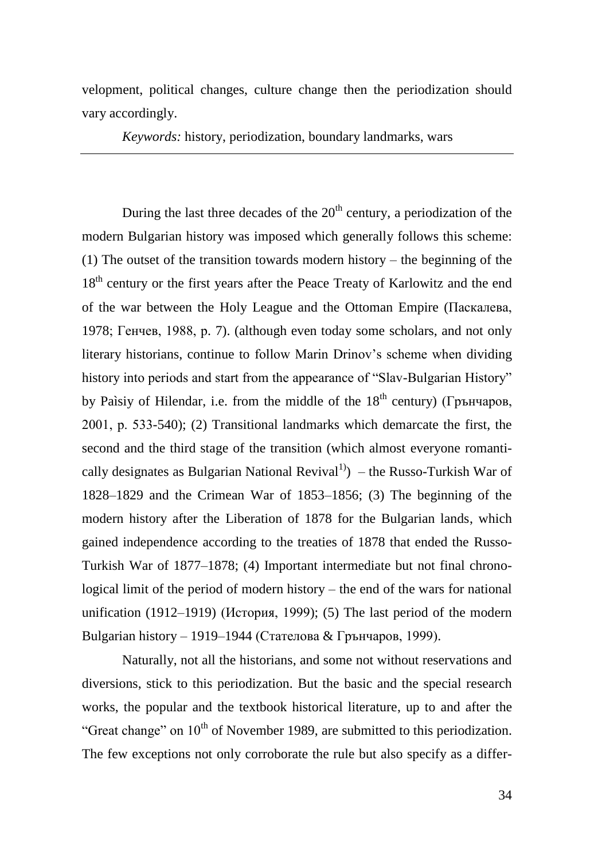velopment, political changes, culture change then the periodization should vary accordingly.

*Keywords:* history, periodization, boundary landmarks, wars

During the last three decades of the  $20<sup>th</sup>$  century, a periodization of the modern Bulgarian history was imposed which generally follows this scheme: (1) The outset of the transition towards modern history – the beginning of the 18<sup>th</sup> century or the first years after the Peace Treaty of Karlowitz and the end of the war between the Holy League and the Ottoman Empire (Паскалева, 1978; Генчев, 1988, p. 7). (although even today some scholars, and not only literary historians, continue to follow Marin Drinov's scheme when dividing history into periods and start from the appearance of "Slav-Bulgarian History" by Paìsiy of Hilendar, i.e. from the middle of the  $18<sup>th</sup>$  century) (Грънчаров, 2001, р. 533-540); (2) Transitional landmarks which demarcate the first, the second and the third stage of the transition (which almost everyone romantically designates as Bulgarian National Revival<sup>1</sup>) – the Russo-Turkish War of 1828–1829 and the Crimean War of 1853–1856; (3) The beginning of the modern history after the Liberation of 1878 for the Bulgarian lands, which gained independence according to the treaties of 1878 that ended the Russo-Turkish War of 1877–1878; (4) Important intermediate but not final chronological limit of the period of modern history – the end of the wars for national unification (1912–1919) (История, 1999); (5) The last period of the modern Bulgarian history – 1919–1944 (Стателова & Грънчаров, 1999).

Naturally, not all the historians, and some not without reservations and diversions, stick to this periodization. But the basic and the special research works, the popular and the textbook historical literature, up to and after the "Great change" on  $10<sup>th</sup>$  of November 1989, are submitted to this periodization. The few exceptions not only corroborate the rule but also specify as a differ-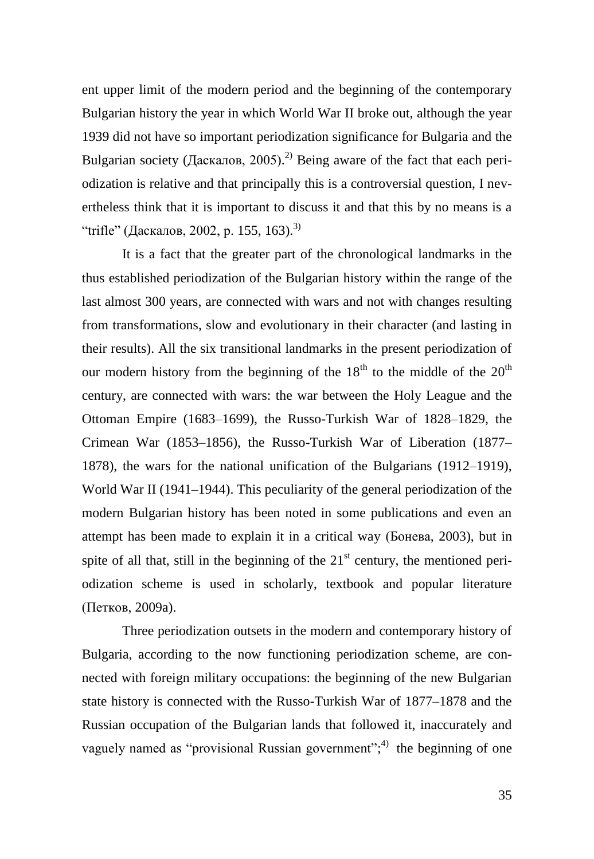ent upper limit of the modern period and the beginning of the contemporary Bulgarian history the year in which World War II broke out, although the year 1939 did not have so important periodization significance for Bulgaria and the Bulgarian society (Даскалов, 2005).<sup>2)</sup> Being aware of the fact that each periodization is relative and that principally this is a controversial question, I nevertheless think that it is important to discuss it and that this by no means is a "trifle" (Даскалов, 2002, p. 155, 163).<sup>3)</sup>

It is a fact that the greater part of the chronological landmarks in the thus established periodization of the Bulgarian history within the range of the last almost 300 years, are connected with wars and not with changes resulting from transformations, slow and evolutionary in their character (and lasting in their results). All the six transitional landmarks in the present periodization of our modern history from the beginning of the  $18<sup>th</sup>$  to the middle of the  $20<sup>th</sup>$ century, are connected with wars: the war between the Holy League and the Ottoman Empire (1683–1699), the Russo-Turkish War of 1828–1829, the Crimean War (1853–1856), the Russo-Turkish War of Liberation (1877– 1878), the wars for the national unification of the Bulgarians (1912–1919), World War II (1941–1944). This peculiarity of the general periodization of the modern Bulgarian history has been noted in some publications and even an attempt has been made to explain it in a critical way (Бонева, 2003), but in spite of all that, still in the beginning of the  $21<sup>st</sup>$  century, the mentioned periodization scheme is used in scholarly, textbook and popular literature (Петков, 2009a).

Three periodization outsets in the modern and contemporary history of Bulgaria, according to the now functioning periodization scheme, are connected with foreign military occupations: the beginning of the new Bulgarian state history is connected with the Russo-Turkish War of 1877–1878 and the Russian occupation of the Bulgarian lands that followed it, inaccurately and vaguely named as "provisional Russian government"; $\phi$  the beginning of one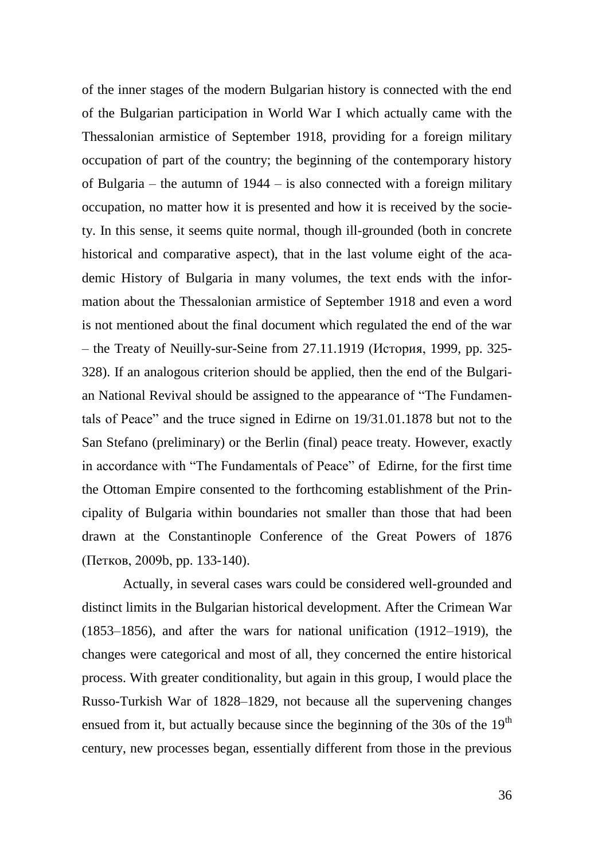of the inner stages of the modern Bulgarian history is connected with the end of the Bulgarian participation in World War I which actually came with the Thessalonian armistice of September 1918, providing for a foreign military occupation of part of the country; the beginning of the contemporary history of Bulgaria – the autumn of 1944 – is also connected with a foreign military occupation, no matter how it is presented and how it is received by the society. In this sense, it seems quite normal, though ill-grounded (both in concrete historical and comparative aspect), that in the last volume eight of the academic History of Bulgaria in many volumes, the text ends with the information about the Thessalonian armistice of September 1918 and even a word is not mentioned about the final document which regulated the end of the war – the Treaty of Neuilly-sur-Seine from 27.11.1919 (История, 1999, pp. 325- 328). If an analogous criterion should be applied, then the end of the Bulgarian National Revival should be assigned to the appearance of "The Fundamentals of Peace" and the truce signed in Edirne on 19/31.01.1878 but not to the San Stefano (preliminary) or the Berlin (final) peace treaty. However, exactly in accordance with "The Fundamentals of Peace" of Edirne, for the first time the Ottoman Empire consented to the forthcoming establishment of the Principality of Bulgaria within boundaries not smaller than those that had been drawn at the Constantinople Conference of the Great Powers of 1876 (Петков, 2009b, рp. 133-140).

Actually, in several cases wars could be considered well-grounded and distinct limits in the Bulgarian historical development. After the Crimean War (1853–1856), and after the wars for national unification (1912–1919), the changes were categorical and most of all, they concerned the entire historical process. With greater conditionality, but again in this group, I would place the Russo-Turkish War of 1828–1829, not because all the supervening changes ensued from it, but actually because since the beginning of the  $30s$  of the  $19<sup>th</sup>$ century, new processes began, essentially different from those in the previous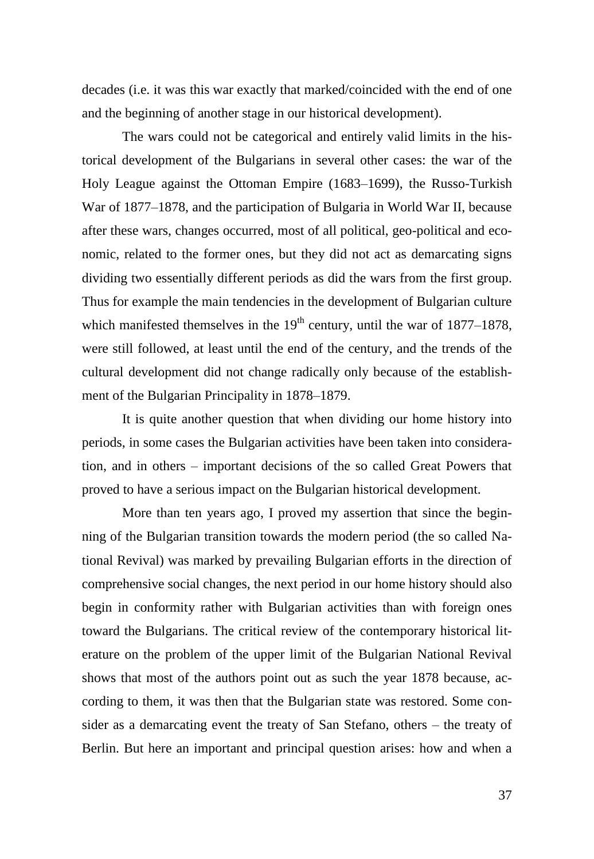decades (i.e. it was this war exactly that marked/coincided with the end of one and the beginning of another stage in our historical development).

The wars could not be categorical and entirely valid limits in the historical development of the Bulgarians in several other cases: the war of the Holy League against the Ottoman Empire (1683–1699), the Russo-Turkish War of 1877–1878, and the participation of Bulgaria in World War II, because after these wars, changes occurred, most of all political, geo-political and economic, related to the former ones, but they did not act as demarcating signs dividing two essentially different periods as did the wars from the first group. Thus for example the main tendencies in the development of Bulgarian culture which manifested themselves in the  $19<sup>th</sup>$  century, until the war of 1877–1878, were still followed, at least until the end of the century, and the trends of the cultural development did not change radically only because of the establishment of the Bulgarian Principality in 1878–1879.

It is quite another question that when dividing our home history into periods, in some cases the Bulgarian activities have been taken into consideration, and in others – important decisions of the so called Great Powers that proved to have a serious impact on the Bulgarian historical development.

More than ten years ago, I proved my assertion that since the beginning of the Bulgarian transition towards the modern period (the so called National Revival) was marked by prevailing Bulgarian efforts in the direction of comprehensive social changes, the next period in our home history should also begin in conformity rather with Bulgarian activities than with foreign ones toward the Bulgarians. The critical review of the contemporary historical literature on the problem of the upper limit of the Bulgarian National Revival shows that most of the authors point out as such the year 1878 because, according to them, it was then that the Bulgarian state was restored. Some consider as a demarcating event the treaty of San Stefano, others – the treaty of Berlin. But here an important and principal question arises: how and when a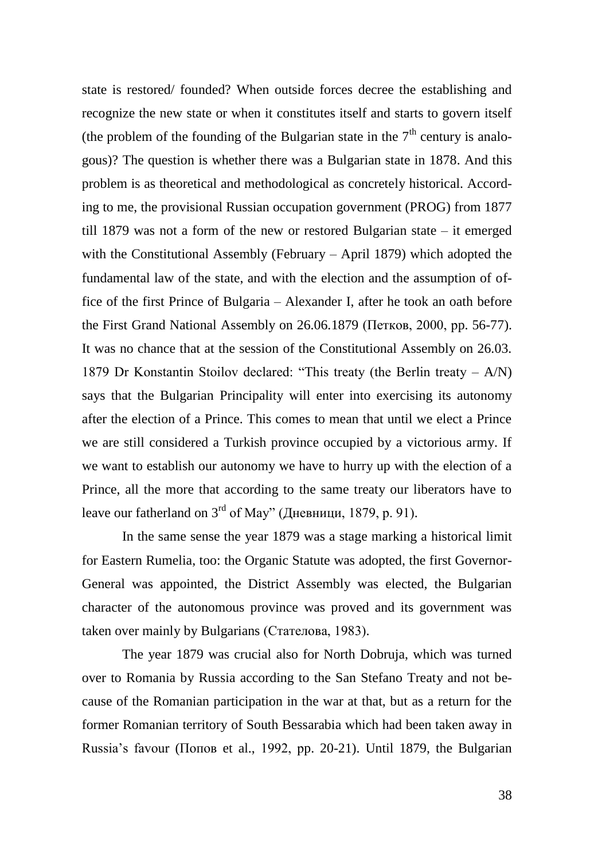state is restored/ founded? When outside forces decree the establishing and recognize the new state or when it constitutes itself and starts to govern itself (the problem of the founding of the Bulgarian state in the  $7<sup>th</sup>$  century is analogous)? The question is whether there was a Bulgarian state in 1878. And this problem is as theoretical and methodological as concretely historical. According to me, the provisional Russian occupation government (PROG) from 1877 till 1879 was not a form of the new or restored Bulgarian state – it emerged with the Constitutional Assembly (February – April 1879) which adopted the fundamental law of the state, and with the election and the assumption of office of the first Prince of Bulgaria – Alexander I, after he took an oath before the First Grand National Assembly on 26.06.1879 (Петков, 2000, рp. 56-77). It was no chance that at the session of the Constitutional Assembly on 26.03. 1879 Dr Konstantin Stoilov declared: "This treaty (the Berlin treaty – A/N) says that the Bulgarian Principality will enter into exercising its autonomy after the election of a Prince. This comes to mean that until we elect a Prince we are still considered a Turkish province occupied by a victorious army. If we want to establish our autonomy we have to hurry up with the election of a Prince, all the more that according to the same treaty our liberators have to leave our fatherland on  $3<sup>rd</sup>$  of May" (Дневници, 1879, р. 91).

In the same sense the year 1879 was a stage marking a historical limit for Eastern Rumelia, too: the Organic Statute was adopted, the first Governor-General was appointed, the District Assembly was elected, the Bulgarian character of the autonomous province was proved and its government was taken over mainly by Bulgarians (Стателова, 1983).

The year 1879 was crucial also for North Dobruja, which was turned over to Romania by Russia according to the San Stefano Treaty and not because of the Romanian participation in the war at that, but as a return for the former Romanian territory of South Bessarabia which had been taken away in Russia's favour (Попов et al., 1992, рp. 20-21). Until 1879, the Bulgarian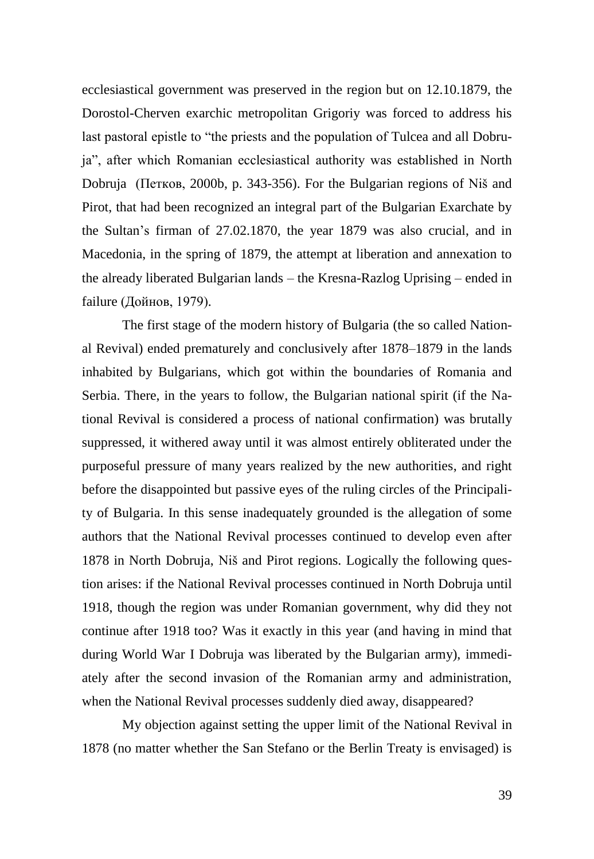ecclesiastical government was preserved in the region but on 12.10.1879, the Dorostol-Cherven exarchic metropolitan Grigoriy was forced to address his last pastoral epistle to "the priests and the population of Tulcea and all Dobruja", after which Romanian ecclesiastical authority was established in North Dobruja (Петков, 2000b, p. 343-356). For the Bulgarian regions of Niš and Pirot, that had been recognized an integral part of the Bulgarian Exarchate by the Sultan's firman of 27.02.1870, the year 1879 was also crucial, and in Macedonia, in the spring of 1879, the attempt at liberation and annexation to the already liberated Bulgarian lands – the Kresna-Razlog Uprising – ended in failure (Дойнов, 1979).

The first stage of the modern history of Bulgaria (the so called National Revival) ended prematurely and conclusively after 1878–1879 in the lands inhabited by Bulgarians, which got within the boundaries of Romania and Serbia. There, in the years to follow, the Bulgarian national spirit (if the National Revival is considered a process of national confirmation) was brutally suppressed, it withered away until it was almost entirely obliterated under the purposeful pressure of many years realized by the new authorities, and right before the disappointed but passive eyes of the ruling circles of the Principality of Bulgaria. In this sense inadequately grounded is the allegation of some authors that the National Revival processes continued to develop even after 1878 in North Dobruja, Niš and Pirot regions. Logically the following question arises: if the National Revival processes continued in North Dobruja until 1918, though the region was under Romanian government, why did they not continue after 1918 too? Was it exactly in this year (and having in mind that during World War I Dobruja was liberated by the Bulgarian army), immediately after the second invasion of the Romanian army and administration, when the National Revival processes suddenly died away, disappeared?

My objection against setting the upper limit of the National Revival in 1878 (no matter whether the San Stefano or the Berlin Treaty is envisaged) is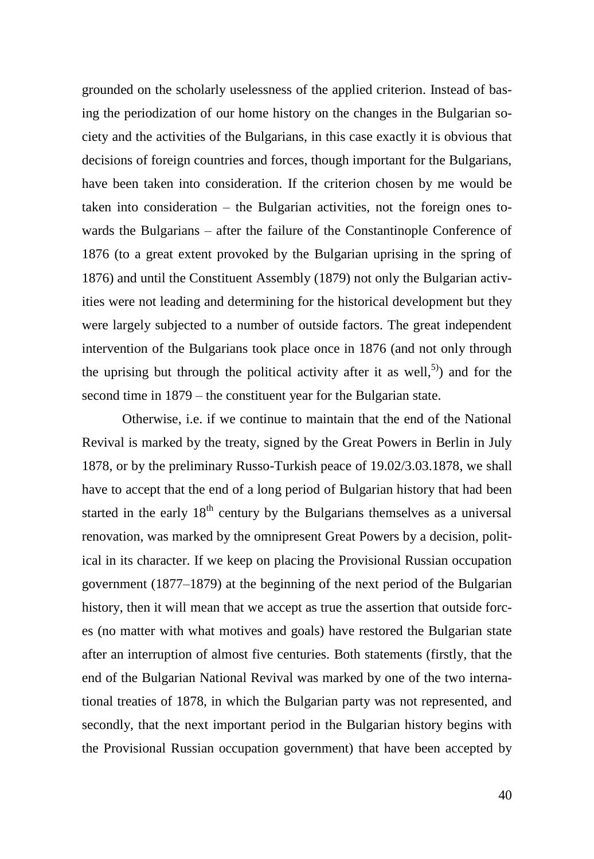grounded on the scholarly uselessness of the applied criterion. Instead of basing the periodization of our home history on the changes in the Bulgarian society and the activities of the Bulgarians, in this case exactly it is obvious that decisions of foreign countries and forces, though important for the Bulgarians, have been taken into consideration. If the criterion chosen by me would be taken into consideration – the Bulgarian activities, not the foreign ones towards the Bulgarians – after the failure of the Constantinople Conference of 1876 (to a great extent provoked by the Bulgarian uprising in the spring of 1876) and until the Constituent Assembly (1879) not only the Bulgarian activities were not leading and determining for the historical development but they were largely subjected to a number of outside factors. The great independent intervention of the Bulgarians took place once in 1876 (and not only through the uprising but through the political activity after it as well,<sup>5)</sup> and for the second time in 1879 – the constituent year for the Bulgarian state.

Otherwise, i.e. if we continue to maintain that the end of the National Revival is marked by the treaty, signed by the Great Powers in Berlin in July 1878, or by the preliminary Russo-Turkish peace of 19.02/3.03.1878, we shall have to accept that the end of a long period of Bulgarian history that had been started in the early  $18<sup>th</sup>$  century by the Bulgarians themselves as a universal renovation, was marked by the omnipresent Great Powers by a decision, political in its character. If we keep on placing the Provisional Russian occupation government (1877–1879) at the beginning of the next period of the Bulgarian history, then it will mean that we accept as true the assertion that outside forces (no matter with what motives and goals) have restored the Bulgarian state after an interruption of almost five centuries. Both statements (firstly, that the end of the Bulgarian National Revival was marked by one of the two international treaties of 1878, in which the Bulgarian party was not represented, and secondly, that the next important period in the Bulgarian history begins with the Provisional Russian occupation government) that have been accepted by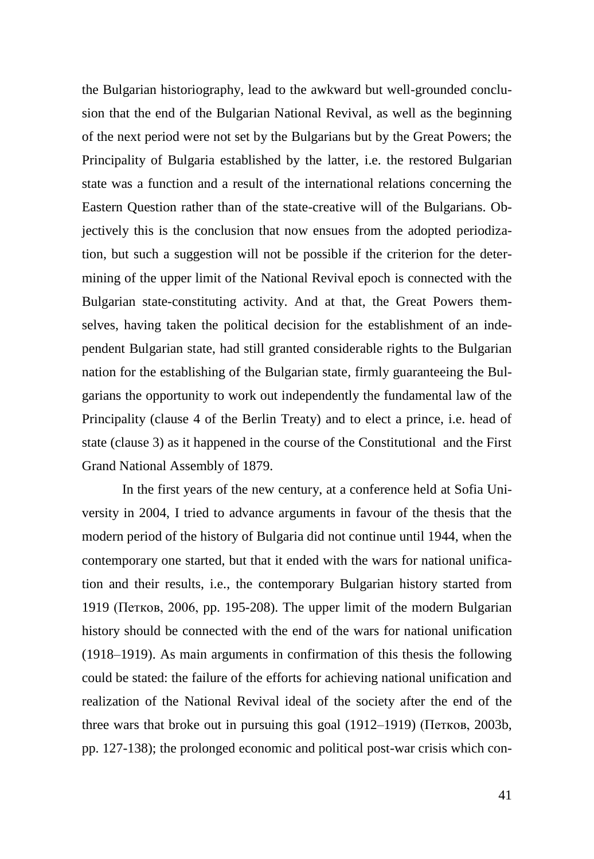the Bulgarian historiography, lead to the awkward but well-grounded conclusion that the end of the Bulgarian National Revival, as well as the beginning of the next period were not set by the Bulgarians but by the Great Powers; the Principality of Bulgaria established by the latter, i.e. the restored Bulgarian state was a function and a result of the international relations concerning the Eastern Question rather than of the state-creative will of the Bulgarians. Objectively this is the conclusion that now ensues from the adopted periodization, but such a suggestion will not be possible if the criterion for the determining of the upper limit of the National Revival epoch is connected with the Bulgarian state-constituting activity. And at that, the Great Powers themselves, having taken the political decision for the establishment of an independent Bulgarian state, had still granted considerable rights to the Bulgarian nation for the establishing of the Bulgarian state, firmly guaranteeing the Bulgarians the opportunity to work out independently the fundamental law of the Principality (clause 4 of the Berlin Treaty) and to elect a prince, i.e. head of state (clause 3) as it happened in the course of the Constitutional and the First Grand National Assembly of 1879.

In the first years of the new century, at a conference held at Sofia University in 2004, I tried to advance arguments in favour of the thesis that the modern period of the history of Bulgaria did not continue until 1944, when the contemporary one started, but that it ended with the wars for national unification and their results, i.e., the contemporary Bulgarian history started from 1919 (Петков, 2006, pp. 195-208). The upper limit of the modern Bulgarian history should be connected with the end of the wars for national unification (1918–1919). As main arguments in confirmation of this thesis the following could be stated: the failure of the efforts for achieving national unification and realization of the National Revival ideal of the society after the end of the three wars that broke out in pursuing this goal (1912–1919) (Петков, 2003b, pp. 127-138); the prolonged economic and political post-war crisis which con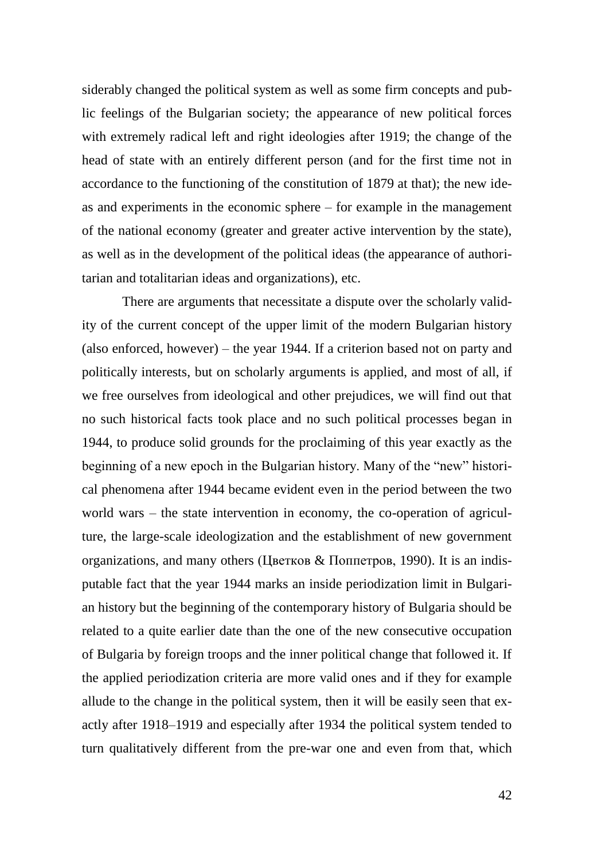siderably changed the political system as well as some firm concepts and public feelings of the Bulgarian society; the appearance of new political forces with extremely radical left and right ideologies after 1919; the change of the head of state with an entirely different person (and for the first time not in accordance to the functioning of the constitution of 1879 at that); the new ideas and experiments in the economic sphere – for example in the management of the national economy (greater and greater active intervention by the state), as well as in the development of the political ideas (the appearance of authoritarian and totalitarian ideas and organizations), etc.

There are arguments that necessitate a dispute over the scholarly validity of the current concept of the upper limit of the modern Bulgarian history (also enforced, however) – the year 1944. If a criterion based not on party and politically interests, but on scholarly arguments is applied, and most of all, if we free ourselves from ideological and other prejudices, we will find out that no such historical facts took place and no such political processes began in 1944, to produce solid grounds for the proclaiming of this year exactly as the beginning of a new epoch in the Bulgarian history. Many of the "new" historical phenomena after 1944 became evident even in the period between the two world wars – the state intervention in economy, the co-operation of agriculture, the large-scale ideologization and the establishment of new government organizations, and many others (Цветков & Поппетров, 1990). It is an indisputable fact that the year 1944 marks an inside periodization limit in Bulgarian history but the beginning of the contemporary history of Bulgaria should be related to a quite earlier date than the one of the new consecutive occupation of Bulgaria by foreign troops and the inner political change that followed it. If the applied periodization criteria are more valid ones and if they for example allude to the change in the political system, then it will be easily seen that exactly after 1918–1919 and especially after 1934 the political system tended to turn qualitatively different from the pre-war one and even from that, which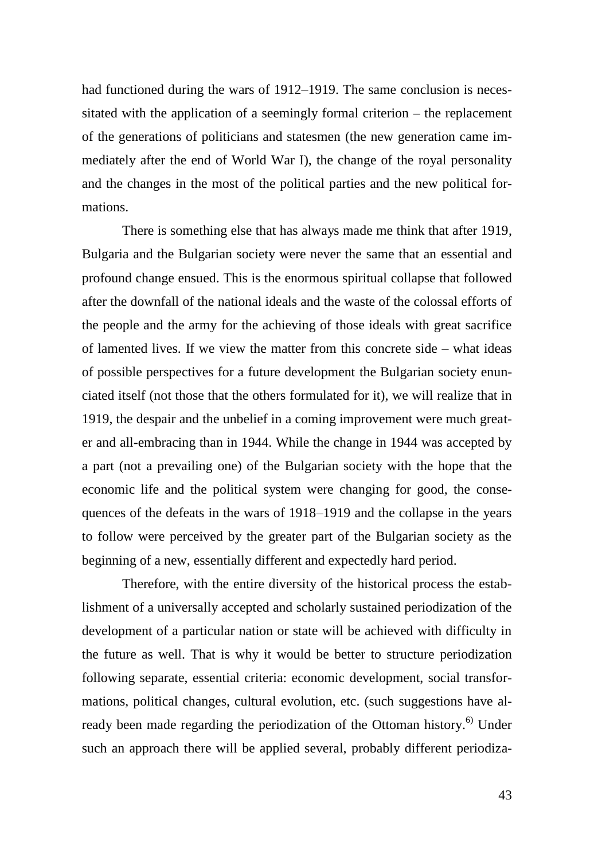had functioned during the wars of 1912–1919. The same conclusion is necessitated with the application of a seemingly formal criterion – the replacement of the generations of politicians and statesmen (the new generation came immediately after the end of World War I), the change of the royal personality and the changes in the most of the political parties and the new political formations.

There is something else that has always made me think that after 1919, Bulgaria and the Bulgarian society were never the same that an essential and profound change ensued. This is the enormous spiritual collapse that followed after the downfall of the national ideals and the waste of the colossal efforts of the people and the army for the achieving of those ideals with great sacrifice of lamented lives. If we view the matter from this concrete side – what ideas of possible perspectives for a future development the Bulgarian society enunciated itself (not those that the others formulated for it), we will realize that in 1919, the despair and the unbelief in a coming improvement were much greater and all-embracing than in 1944. While the change in 1944 was accepted by a part (not a prevailing one) of the Bulgarian society with the hope that the economic life and the political system were changing for good, the consequences of the defeats in the wars of 1918–1919 and the collapse in the years to follow were perceived by the greater part of the Bulgarian society as the beginning of a new, essentially different and expectedly hard period.

Therefore, with the entire diversity of the historical process the establishment of a universally accepted and scholarly sustained periodization of the development of a particular nation or state will be achieved with difficulty in the future as well. That is why it would be better to structure periodization following separate, essential criteria: economic development, social transformations, political changes, cultural evolution, etc. (such suggestions have already been made regarding the periodization of the Ottoman history.<sup>6)</sup> Under such an approach there will be applied several, probably different periodiza-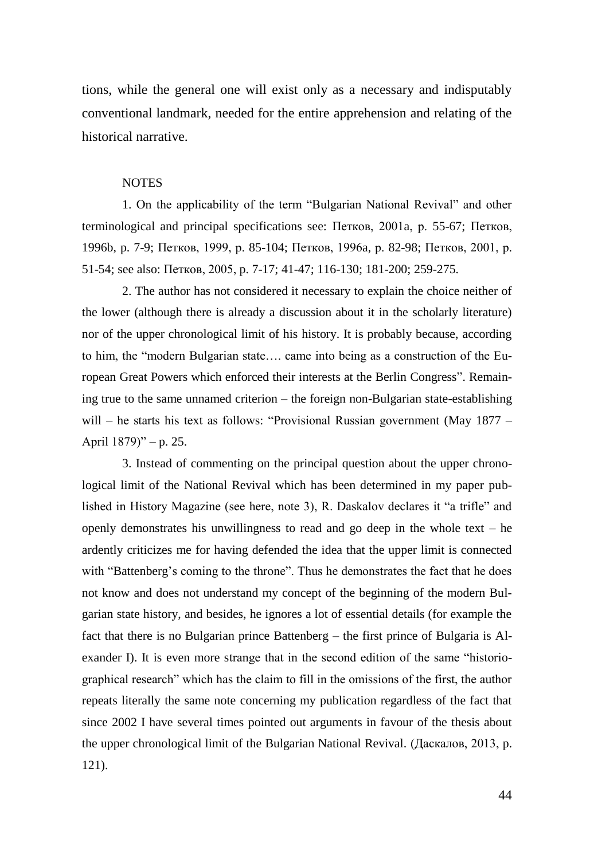tions, while the general one will exist only as a necessary and indisputably conventional landmark, needed for the entire apprehension and relating of the historical narrative.

## **NOTES**

1. On the applicability of the term "Bulgarian National Revival" and other terminological and principal specifications see: Петков, 2001a, р. 55-67; Петков, 1996b, p. 7-9; Петков, 1999, р. 85-104; Петков, 1996a, р. 82-98; Петков, 2001, р. 51-54; see also: Петков, 2005, p. 7-17; 41-47; 116-130; 181-200; 259-275.

2. The author has not considered it necessary to explain the choice neither of the lower (although there is already a discussion about it in the scholarly literature) nor of the upper chronological limit of his history. It is probably because, according to him, the "modern Bulgarian state…. came into being as a construction of the European Great Powers which enforced their interests at the Berlin Congress". Remaining true to the same unnamed criterion – the foreign non-Bulgarian state-establishing will – he starts his text as follows: "Provisional Russian government (May 1877 – April 1879)" – p. 25.

3. Instead of commenting on the principal question about the upper chronological limit of the National Revival which has been determined in my paper published in History Magazine (see here, note 3), R. Daskalov declares it "a trifle" and openly demonstrates his unwillingness to read and go deep in the whole text – he ardently criticizes me for having defended the idea that the upper limit is connected with "Battenberg's coming to the throne". Thus he demonstrates the fact that he does not know and does not understand my concept of the beginning of the modern Bulgarian state history, and besides, he ignores a lot of essential details (for example the fact that there is no Bulgarian prince Battenberg – the first prince of Bulgaria is Alexander I). It is even more strange that in the second edition of the same "historiographical research" which has the claim to fill in the omissions of the first, the author repeats literally the same note concerning my publication regardless of the fact that since 2002 I have several times pointed out arguments in favour of the thesis about the upper chronological limit of the Bulgarian National Revival. (Даскалов, 2013, p. 121).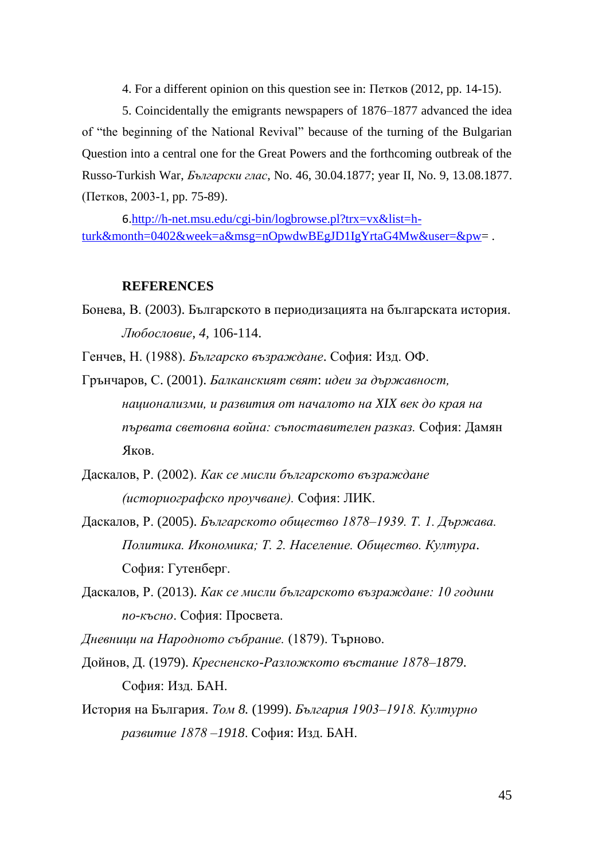4. For a different opinion on this question see in: Петков (2012, pp. 14-15).

5. Coincidentally the emigrants newspapers of 1876–1877 advanced the idea of "the beginning of the National Revival" because of the turning of the Bulgarian Question into a central one for the Great Powers and the forthcoming outbreak of the Russo-Turkish War, *Български глас*, No. 46, 30.04.1877; year II, No. 9, 13.08.1877. (Петков, 2003-1, pp. 75-89).

6.[http://h-net.msu.edu/cgi-bin/logbrowse.pl?trx=vx&list=h](http://h-net.msu.edu/cgi-bin/logbrowse.pl?trx=vx&list=h-turk&month=0402&week=a&msg=nOpwdwBEgJD1IgYrtaG4Mw&user=&pw)[turk&month=0402&week=a&msg=nOpwdwBEgJD1IgYrtaG4Mw&user=&pw=](http://h-net.msu.edu/cgi-bin/logbrowse.pl?trx=vx&list=h-turk&month=0402&week=a&msg=nOpwdwBEgJD1IgYrtaG4Mw&user=&pw).

## **REFERENCES**

Бонева, В. (2003). Българското в периодизацията на българската история. *Любословие, 4,* 106-114.

Генчев, Н. (1988). *Българско възраждане*. София: Изд. ОФ.

- Грънчаров, С. (2001). *Балканският свят*: *идеи за държавност, национализми, и развития от началото на XIX век до края на първата световна война: съпоставителен разказ.* София: Дамян Яков.
- Даскалов, Р. (2002). *Как се мисли българското възраждане (историографско проучване).* София: ЛИК.
- Даскалов, Р. (2005). *Българското общество 1878–1939. Т. 1. Държава. Политика. Икономика; Т. 2. Население. Общество. Култура*. София: Гутенберг.
- Даскалов, Р. (2013). *Как се мисли българското възраждане: 10 години по-късно*. София: Просвета.

*Дневници на Народното събрание.* (1879). Търново.

Дойнов, Д. (1979). *Кресненско-Разложкото въстание 1878–1879*. София: Изд. БАН.

История на България. *Том 8.* (1999). *България 1903–1918. Културно развитие 1878 –1918*. София: Изд. БАН.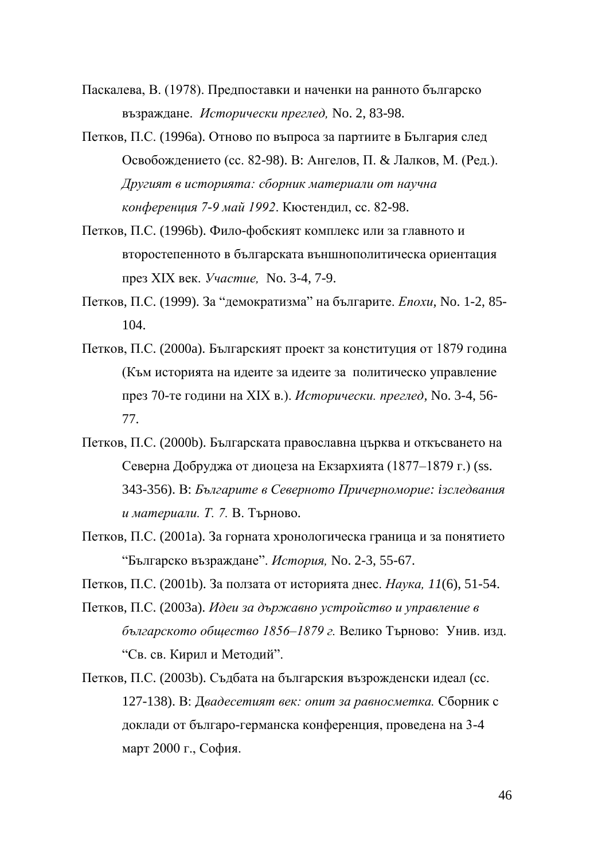Паскалева, В. (1978). Предпоставки и наченки на ранното българско възраждане. *Исторически преглед,* No. 2, 83-98.

Петков, П.С. (1996а). Отново по въпроса за партиите в България след Освобождението (сс. 82-98). В: Ангелов, П. & Лалков, М. (Ред.). *Другият в историята: сборник материали от научна конференция 7-9 май 1992*. Кюстендил, сс. 82-98.

Петков, П.С. (1996b). Фило-фобският комплекс или за главното и второстепенното в българската външнополитическа ориентация през ХIХ век. *Участие,* No. 3-4, 7-9.

Петков, П.С. (1999). За "демократизма" на българите. *Епохи,* No. 1-2, 85- 104.

Петков, П.С. (2000a). Българският проект за конституция от 1879 година (Към историята на идеите за идеите за политическо управление през 70-те години на ХIХ в.). *Исторически. преглед,* No. 3-4, 56- 77.

Петков, П.С. (2000b). Българската православна църква и откъсването на Северна Добруджа от диоцеза на Екзархията (1877–1879 г.) (ss. 343-356). В: *Българите в Северното Причерноморие: iзследвания и материали. Т. 7.* В. Търново.

Петков, П.С. (2001a). За горната хронологическа граница и за понятието "Българско възраждане". *История,* No. 2-3, 55-67.

Петков, П.С. (2001b). За ползата от историята днес. *Наука, 11*(6), 51-54.

Петков, П.С. (2003a). *Идеи за държавно устройство и управление в българското общество 1856–1879 г.* Велико Търново: Унив. изд. "Св. св. Кирил и Методий".

Петков, П.С. (2003b). Съдбата на българския възрожденски идеал (сс. 127-138). В: Д*вадесетият век: опит за равносметка.* Сборник с доклади от българо-германска конференция, проведена на 3-4 март 2000 г., София.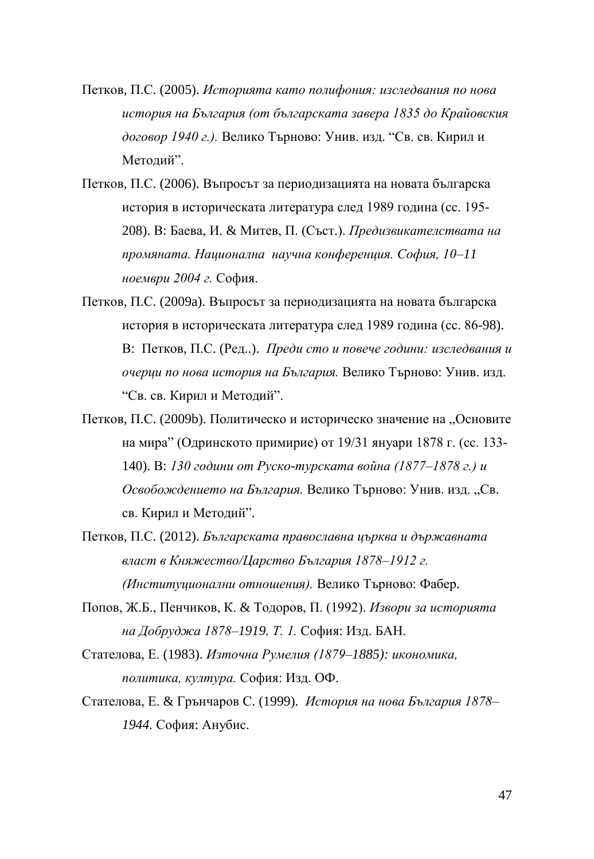- Петков, П.С. (2005). *Историята като полифония: изследвания по нова история на България (от българската завера 1835 до Крайовския договор 1940 г.).* Велико Търново: Унив. изд. "Св. св. Кирил и Методий".
- Петков, П.С. (2006). Въпросът за периодизацията на новата българска история в историческата литература след 1989 година (сс. 195- 208). В: Баева, И. & Митев, П. (Съст.). *Предизвикателствата на промяната. Национална научна конференция. София, 10–11 ноември 2004 г.* София.
- Петков, П.С. (2009a). Въпросът за периодизацията на новата българска история в историческата литература след 1989 година (сс. 86-98). В: Петков, П.С. (Ред..). *Преди сто и повече години: изследвания и очерци по нова история на България.* Велико Търново: Унив. изд. "Св. св. Кирил и Методий".
- Петков, П.С. (2009b). Политическо и историческо значение на "Основите на мира" (Одринското примирие) от 19/31 януари 1878 г. (сс. 133- 140). В: *130 години от Руско-турската война (1877–1878 г.) и*  Освобождението на България. Велико Търново: Унив. изд. "Св. св. Кирил и Методий".
- Петков, П.С. (2012). *Българската православна църква и държавната власт в Княжество/Царство България 1878–1912 г. (Институционални отношения).* Велико Търново: Фабер.
- Попов, Ж.Б., Пенчиков, К. & Тодоров, П. (1992). *Извори за историята на Добруджа 1878–1919. Т. 1.* София: Изд. БАН.
- Стателова, Е. (1983). *Източна Румелия (1879–1885): икономика, политика, култура.* София: Изд. ОФ.
- Стателова, Е. & Грънчаров С. (1999). *История на нова България 1878– 1944.* София: Анубис.